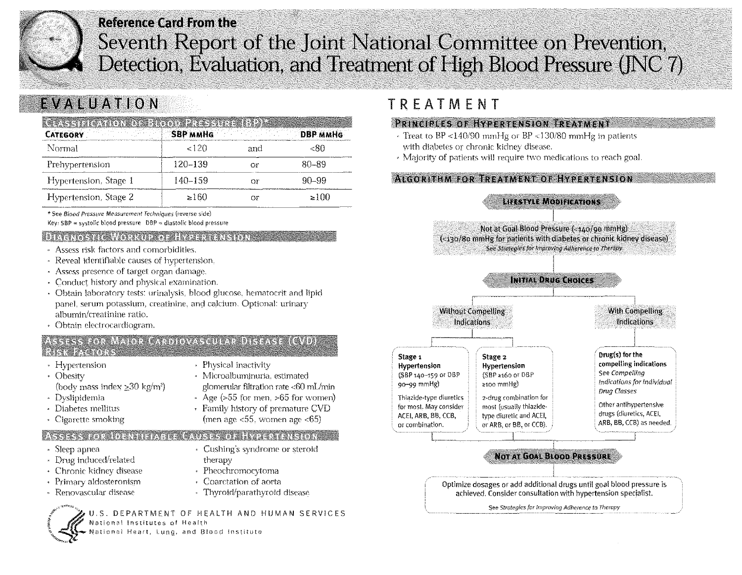

## **Reference Card From the** Seventh Report of the Joint National Committee on Prevention, Detection, Evaluation, and Treatment of High Blood Pressure (JNC 7)

# EVALUATION

| kssitikation konstantin 2113. siitsilised<br>CATEGORY |          |     | <b>DBP MMHG</b> |
|-------------------------------------------------------|----------|-----|-----------------|
| Normal                                                | ${<}120$ | and |                 |
| Prehypertension                                       | 120-139  | ОF  | 80–89           |
| Hypertension, Stage 1                                 | 140–159  |     | 90–99           |
| Hypertension, Stage 2                                 | ≥≀60     |     | >100            |

\* See Blood Pressure Measurement Techniques (reverse side)

Key: SBP = systolic blood pressure  $DBP = diagtolic blood pressure$ 

#### **DIAGNOSTIC WORKUP OF HYPERTENSION**

- Assess risk factors and comorbidities.
- Reveal identifiable causes of hypertension,
- Assess presence of target organ damage.
- Conduct history and physical examination.
- Obtain laboratory tests: urinalysis, blood glucose, hematocrit and lipid panel, serum potassium, creatinine, and calcium. Optional: urinary albumin/creatinine ratio.
- · Obtain electrocardiogram.

#### ASSESS FOR MAJOR CARDIOVASCULAR DISEASE (CVD) **RISK FACTORS**

• Hypertension

- Physical inactivity
- Obesity
- · Microalbuminuria, estimated
- (body mass index  $>30 \text{ kg/m}^2$ )
- · Dyslipidemia
- Diabetes mellitus
- Cigarette smoking

## **CAUSES OF HYPERTENSION**

- Sleep apnea
- Drug induced/related
- Chronic kidney disease
- Primary aldosteronism • Renovascular disease
- glomerular filtration rate <60 mL/min
- Age  $(555$  for men,  $>65$  for women)
- Family history of premature CVD
- (men age  $\langle 55,$  women age  $\langle 65 \rangle$

## ASSESS FOR IDENTIFIABLE

- Cushing's syndrome or steroid therapy
- · Pheochromocytoma
- Coarctation of aorta
- Thyroid/parathyroid disease

U.S. DEPARTMENT OF HEALTH AND HUMAN SERVICES National Institutes of Health ational Heart, Lung, and Blood Institute

## TREATMENT

## PRINCIPLES OF HYPERTENSION TREATMENT

- Treat to BP <140/90 mmHg or BP <130/80 mmHg in patients with diabetes or chronic kidney disease.
- » Majority of patients will require two medications to reach goal.

## **ALGORITHM FOR TREATMENT OF HYPERTENSION**